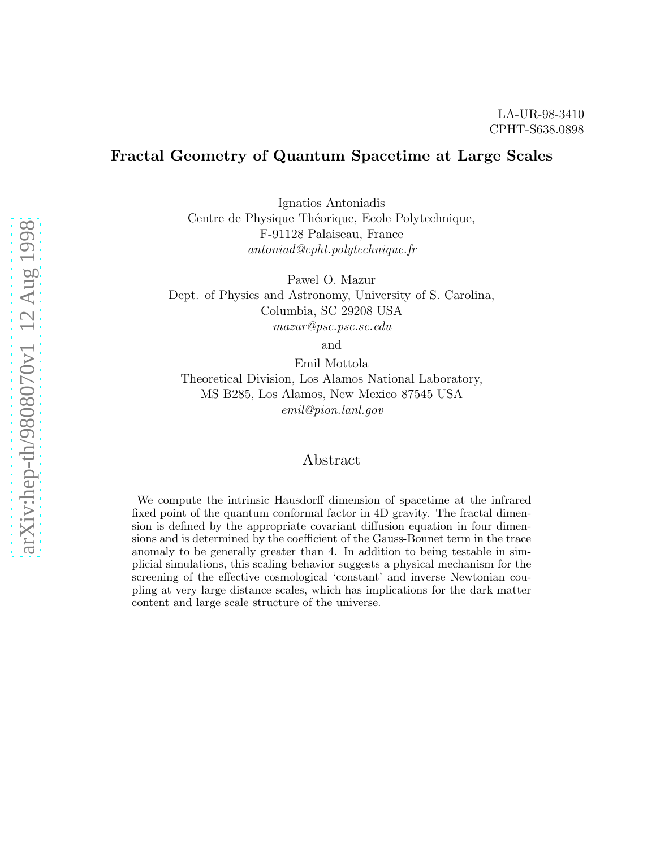# Fractal Geometry of Quantum Spacetime at Large Scales

Ignatios Antoniadis Centre de Physique Théorique, Ecole Polytechnique, F-91128 Palaiseau, France antoniad@cpht.polytechnique.fr

Pawel O. Mazur Dept. of Physics and Astronomy, University of S. Carolina, Columbia, SC 29208 USA mazur@psc.psc.sc.edu

and

Emil Mottola Theoretical Division, Los Alamos National Laboratory, MS B285, Los Alamos, New Mexico 87545 USA emil@pion.lanl.gov

## Abstract

We compute the intrinsic Hausdorff dimension of spacetime at the infrared fixed point of the quantum conformal factor in 4D gravity. The fractal dimension is defined by the appropriate covariant diffusion equation in four dimensions and is determined by the coefficient of the Gauss-Bonnet term in the trace anomaly to be generally greater than 4. In addition to being testable in simplicial simulations, this scaling behavior suggests a physical mechanism for the screening of the effective cosmological 'constant' and inverse Newtonian coupling at very large distance scales, which has implications for the dark matter content and large scale structure of the universe.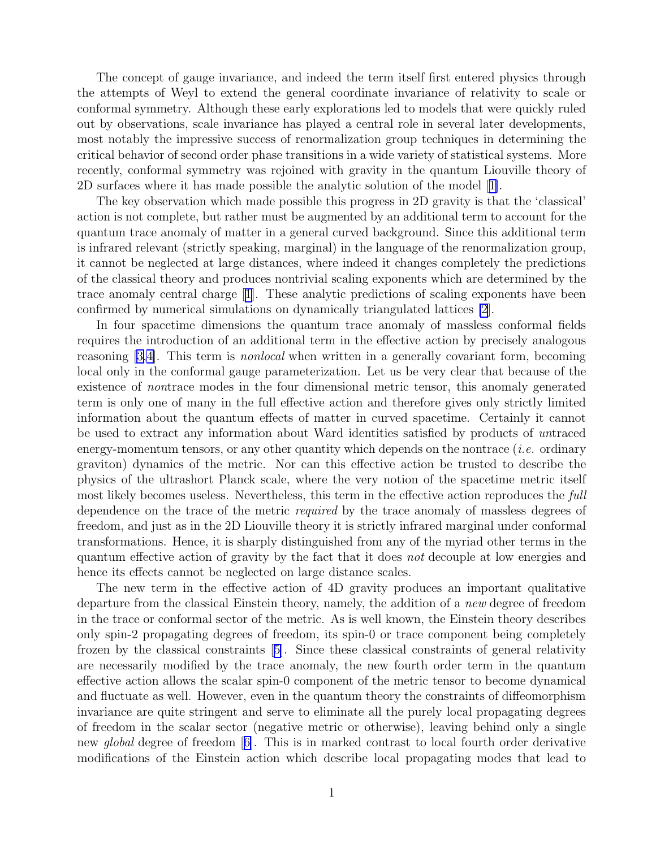The concept of gauge invariance, and indeed the term itself first entered physics through the attempts of Weyl to extend the general coordinate invariance of relativity to scale or conformal symmetry. Although these early explorations led to models that were quickly ruled out by observations, scale invariance has played a central role in several later developments, most notably the impressive success of renormalization group techniques in determining the critical behavior of second order phase transitions in a wide variety of statistical systems. More recently, conformal symmetry was rejoined with gravity in the quantum Liouville theory of 2D surfaces where it has made possible the analytic solution of the model[[1\]](#page-11-0).

The key observation which made possible this progress in 2D gravity is that the 'classical' action is not complete, but rather must be augmented by an additional term to account for the quantum trace anomaly of matter in a general curved background. Since this additional term is infrared relevant (strictly speaking, marginal) in the language of the renormalization group, it cannot be neglected at large distances, where indeed it changes completely the predictions of the classical theory and produces nontrivial scaling exponents which are determined by the trace anomaly central charge[[1\]](#page-11-0). These analytic predictions of scaling exponents have been confirmed by numerical simulations on dynamically triangulated lattices [\[2](#page-11-0)].

In four spacetime dimensions the quantum trace anomaly of massless conformal fields requires the introduction of an additional term in the effective action by precisely analogous reasoning[[3,4\]](#page-11-0). This term is nonlocal when written in a generally covariant form, becoming local only in the conformal gauge parameterization. Let us be very clear that because of the existence of nontrace modes in the four dimensional metric tensor, this anomaly generated term is only one of many in the full effective action and therefore gives only strictly limited information about the quantum effects of matter in curved spacetime. Certainly it cannot be used to extract any information about Ward identities satisfied by products of untraced energy-momentum tensors, or any other quantity which depends on the nontrace (*i.e.* ordinary graviton) dynamics of the metric. Nor can this effective action be trusted to describe the physics of the ultrashort Planck scale, where the very notion of the spacetime metric itself most likely becomes useless. Nevertheless, this term in the effective action reproduces the full dependence on the trace of the metric required by the trace anomaly of massless degrees of freedom, and just as in the 2D Liouville theory it is strictly infrared marginal under conformal transformations. Hence, it is sharply distinguished from any of the myriad other terms in the quantum effective action of gravity by the fact that it does not decouple at low energies and hence its effects cannot be neglected on large distance scales.

The new term in the effective action of 4D gravity produces an important qualitative departure from the classical Einstein theory, namely, the addition of a new degree of freedom in the trace or conformal sector of the metric. As is well known, the Einstein theory describes only spin-2 propagating degrees of freedom, its spin-0 or trace component being completely frozen by the classical constraints[[5\]](#page-11-0). Since these classical constraints of general relativity are necessarily modified by the trace anomaly, the new fourth order term in the quantum effective action allows the scalar spin-0 component of the metric tensor to become dynamical and fluctuate as well. However, even in the quantum theory the constraints of diffeomorphism invariance are quite stringent and serve to eliminate all the purely local propagating degrees of freedom in the scalar sector (negative metric or otherwise), leaving behind only a single new global degree of freedom[[6\]](#page-11-0). This is in marked contrast to local fourth order derivative modifications of the Einstein action which describe local propagating modes that lead to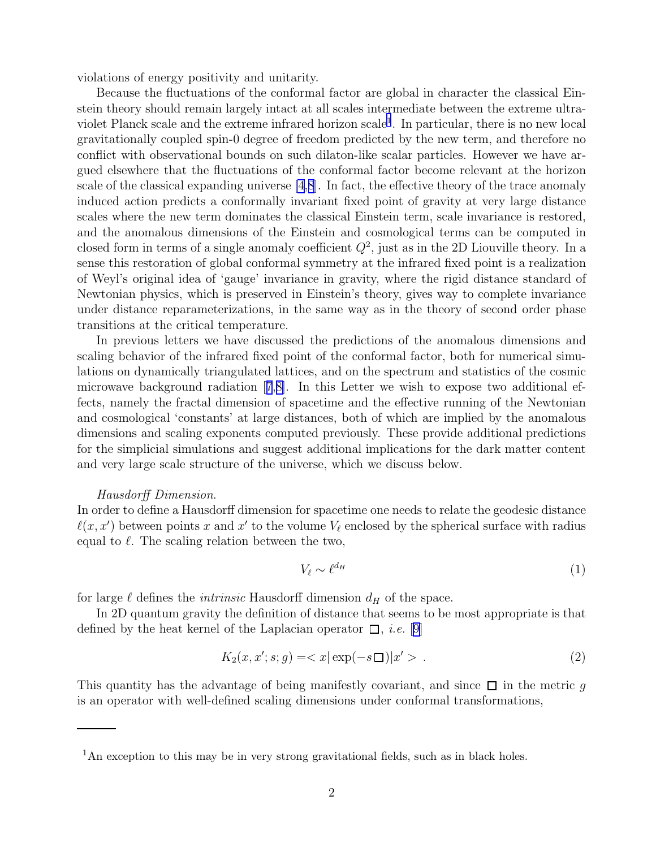<span id="page-2-0"></span>violations of energy positivity and unitarity.

Because the fluctuations of the conformal factor are global in character the classical Einstein theory should remain largely intact at all scales intermediate between the extreme ultraviolet Planck scale and the extreme infrared horizon scale<sup>1</sup>. In particular, there is no new local gravitationally coupled spin-0 degree of freedom predicted by the new term, and therefore no conflict with observational bounds on such dilaton-like scalar particles. However we have argued elsewhere that the fluctuations of the conformal factor become relevant at the horizon scale of the classical expanding universe [\[4](#page-11-0),[8](#page-11-0)]. In fact, the effective theory of the trace anomaly induced action predicts a conformally invariant fixed point of gravity at very large distance scales where the new term dominates the classical Einstein term, scale invariance is restored, and the anomalous dimensions of the Einstein and cosmological terms can be computed in closed form in terms of a single anomaly coefficient  $Q^2$ , just as in the 2D Liouville theory. In a sense this restoration of global conformal symmetry at the infrared fixed point is a realization of Weyl's original idea of 'gauge' invariance in gravity, where the rigid distance standard of Newtonian physics, which is preserved in Einstein's theory, gives way to complete invariance under distance reparameterizations, in the same way as in the theory of second order phase transitions at the critical temperature.

In previous letters we have discussed the predictions of the anomalous dimensions and scaling behavior of the infrared fixed point of the conformal factor, both for numerical simulations on dynamically triangulated lattices, and on the spectrum and statistics of the cosmic microwave background radiation[[7](#page-11-0),[8\]](#page-11-0). In this Letter we wish to expose two additional effects, namely the fractal dimension of spacetime and the effective running of the Newtonian and cosmological 'constants' at large distances, both of which are implied by the anomalous dimensions and scaling exponents computed previously. These provide additional predictions for the simplicial simulations and suggest additional implications for the dark matter content and very large scale structure of the universe, which we discuss below.

#### Hausdorff Dimension.

In order to define a Hausdorff dimension for spacetime one needs to relate the geodesic distance  $\ell(x, x')$  between points x and x' to the volume  $V_{\ell}$  enclosed by the spherical surface with radius equal to  $\ell$ . The scaling relation between the two,

$$
V_{\ell} \sim \ell^{d_H} \tag{1}
$$

for large  $\ell$  defines the *intrinsic* Hausdorff dimension  $d_H$  of the space.

In 2D quantum gravity the definition of distance that seems to be most appropriate is that defined by the heat kernel of the Laplacian operator  $\Box$ , *i.e.* [[9\]](#page-11-0)

$$
K_2(x, x'; s; g) = \langle x | \exp(-s \Box) | x' \rangle . \tag{2}
$$

This quantity has the advantage of being manifestly covariant, and since  $\Box$  in the metric g is an operator with well-defined scaling dimensions under conformal transformations,

<sup>&</sup>lt;sup>1</sup>An exception to this may be in very strong gravitational fields, such as in black holes.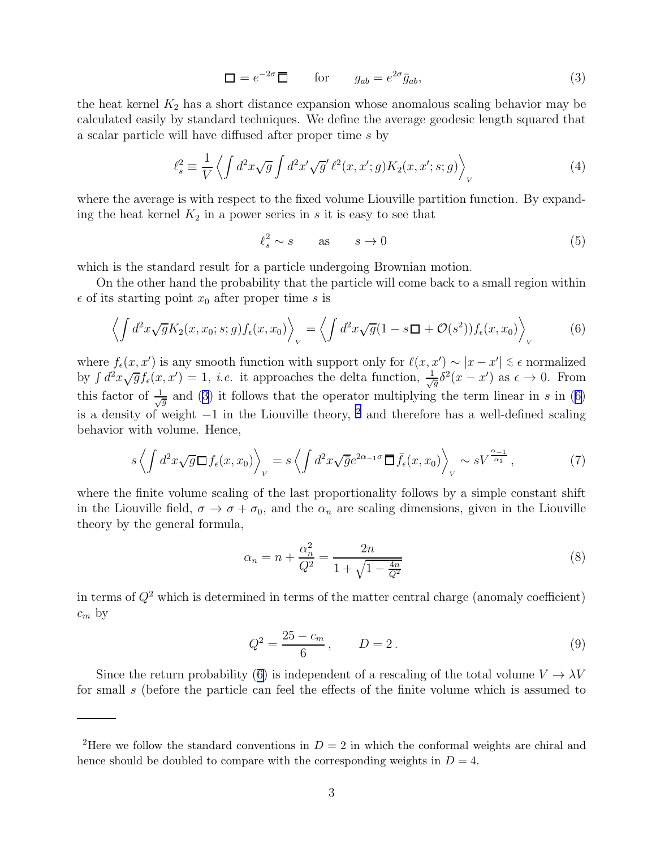$$
\Box = e^{-2\sigma} \overline{\Box} \qquad \text{for} \qquad g_{ab} = e^{2\sigma} \bar{g}_{ab}, \tag{3}
$$

<span id="page-3-0"></span>the heat kernel  $K_2$  has a short distance expansion whose anomalous scaling behavior may be calculated easily by standard techniques. We define the average geodesic length squared that a scalar particle will have diffused after proper time s by

$$
\ell_s^2 \equiv \frac{1}{V} \left\langle \int d^2x \sqrt{g} \int d^2x' \sqrt{g'} \,\ell^2(x, x'; g) K_2(x, x'; s; g) \right\rangle_V \tag{4}
$$

where the average is with respect to the fixed volume Liouville partition function. By expanding the heat kernel  $K_2$  in a power series in s it is easy to see that

$$
\ell_s^2 \sim s \qquad \text{as} \qquad s \to 0 \tag{5}
$$

which is the standard result for a particle undergoing Brownian motion.

On the other hand the probability that the particle will come back to a small region within  $\epsilon$  of its starting point  $x_0$  after proper time s is

$$
\left\langle \int d^2x \sqrt{g} K_2(x, x_0; s; g) f_{\epsilon}(x, x_0) \right\rangle_V = \left\langle \int d^2x \sqrt{g} (1 - s \Box + \mathcal{O}(s^2)) f_{\epsilon}(x, x_0) \right\rangle_V \tag{6}
$$

where  $f_{\epsilon}(x, x')$  is any smooth function with support only for  $\ell(x, x') \sim |x - x'| \lesssim \epsilon$  normalized by  $\int d^2x \sqrt{g} f_{\epsilon}(x, x') = 1$ , *i.e.* it approaches the delta function,  $\frac{1}{\sqrt{g}} \delta^2(x - x')$  as  $\epsilon \to 0$ . From this factor of  $\frac{1}{\sqrt{g}}$  and (3) it follows that the operator multiplying the term linear in s in (6) is a density of weight  $-1$  in the Liouville theory, <sup>2</sup> and therefore has a well-defined scaling behavior with volume. Hence,

$$
s\left\langle \int d^2x \sqrt{g} \Box f_{\epsilon}(x, x_0) \right\rangle_V = s\left\langle \int d^2x \sqrt{\bar{g}} e^{2\alpha - i\sigma} \overline{\Box} \bar{f}_{\epsilon}(x, x_0) \right\rangle_V \sim sV^{\frac{\alpha - 1}{\alpha_1}},\tag{7}
$$

where the finite volume scaling of the last proportionality follows by a simple constant shift in the Liouville field,  $\sigma \to \sigma + \sigma_0$ , and the  $\alpha_n$  are scaling dimensions, given in the Liouville theory by the general formula,

$$
\alpha_n = n + \frac{\alpha_n^2}{Q^2} = \frac{2n}{1 + \sqrt{1 - \frac{4n}{Q^2}}} \tag{8}
$$

in terms of  $Q^2$  which is determined in terms of the matter central charge (anomaly coefficient)  $c_m$  by

$$
Q^2 = \frac{25 - c_m}{6}, \qquad D = 2. \tag{9}
$$

Since the return probability (6) is independent of a rescaling of the total volume  $V \to \lambda V$ for small s (before the particle can feel the effects of the finite volume which is assumed to

<sup>&</sup>lt;sup>2</sup>Here we follow the standard conventions in  $D = 2$  in which the conformal weights are chiral and hence should be doubled to compare with the corresponding weights in  $D = 4$ .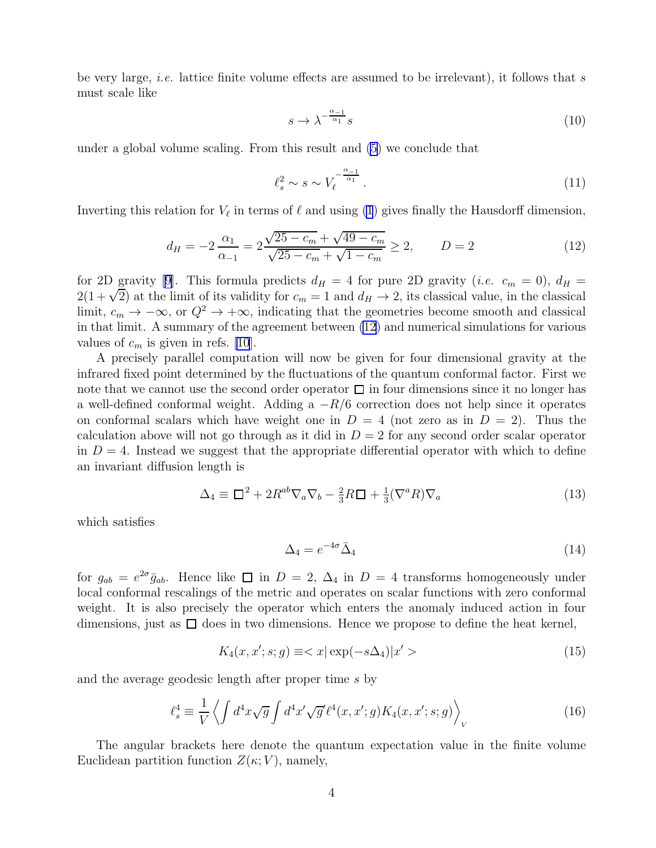<span id="page-4-0"></span>be very large, *i.e.* lattice finite volume effects are assumed to be irrelevant), it follows that s must scale like

$$
s \to \lambda^{-\frac{\alpha_{-1}}{\alpha_1}} s \tag{10}
$$

under a global volume scaling. From this result and [\(5](#page-3-0)) we conclude that

$$
\ell_s^2 \sim s \sim V_\ell^{-\frac{\alpha_{-1}}{\alpha_1}}.\tag{11}
$$

Inverting this relation for  $V_{\ell}$  in terms of  $\ell$  and using [\(1](#page-2-0)) gives finally the Hausdorff dimension,

$$
d_H = -2 \frac{\alpha_1}{\alpha_{-1}} = 2 \frac{\sqrt{25 - c_m} + \sqrt{49 - c_m}}{\sqrt{25 - c_m} + \sqrt{1 - c_m}} \ge 2, \qquad D = 2
$$
\n(12)

for 2D gravity [\[9\]](#page-11-0). This formula predicts  $d_H = 4$  for pure 2D gravity (*i.e.*  $c_m = 0$ ),  $d_H =$  $2(1+\sqrt{2})$  at the limit of its validity for  $c_m = 1$  and  $d_H \to 2$ , its classical value, in the classical limit,  $c_m \to -\infty$ , or  $Q^2 \to +\infty$ , indicating that the geometries become smooth and classical in that limit. A summary of the agreement between (12) and numerical simulations for various values of  $c_m$  is given in refs. [\[10](#page-11-0)].

A precisely parallel computation will now be given for four dimensional gravity at the infrared fixed point determined by the fluctuations of the quantum conformal factor. First we note that we cannot use the second order operator  $\Box$  in four dimensions since it no longer has a well-defined conformal weight. Adding a  $-R/6$  correction does not help since it operates on conformal scalars which have weight one in  $D = 4$  (not zero as in  $D = 2$ ). Thus the calculation above will not go through as it did in  $D = 2$  for any second order scalar operator in  $D = 4$ . Instead we suggest that the appropriate differential operator with which to define an invariant diffusion length is

$$
\Delta_4 \equiv \Box^2 + 2R^{ab}\nabla_a\nabla_b - \frac{2}{3}R\Box + \frac{1}{3}(\nabla^a R)\nabla_a \tag{13}
$$

which satisfies

$$
\Delta_4 = e^{-4\sigma} \bar{\Delta}_4 \tag{14}
$$

for  $g_{ab} = e^{2\sigma} \bar{g}_{ab}$ . Hence like  $\Box$  in  $D = 2$ ,  $\Delta_4$  in  $D = 4$  transforms homogeneously under local conformal rescalings of the metric and operates on scalar functions with zero conformal weight. It is also precisely the operator which enters the anomaly induced action in four dimensions, just as  $\square$  does in two dimensions. Hence we propose to define the heat kernel,

$$
K_4(x, x'; s; g) \equiv \langle x | \exp(-s\Delta_4) | x' \rangle \tag{15}
$$

and the average geodesic length after proper time s by

$$
\ell_s^4 \equiv \frac{1}{V} \left\langle \int d^4x \sqrt{g} \int d^4x' \sqrt{g'} \ell^4(x, x'; g) K_4(x, x'; s; g) \right\rangle_V \tag{16}
$$

The angular brackets here denote the quantum expectation value in the finite volume Euclidean partition function  $Z(\kappa; V)$ , namely,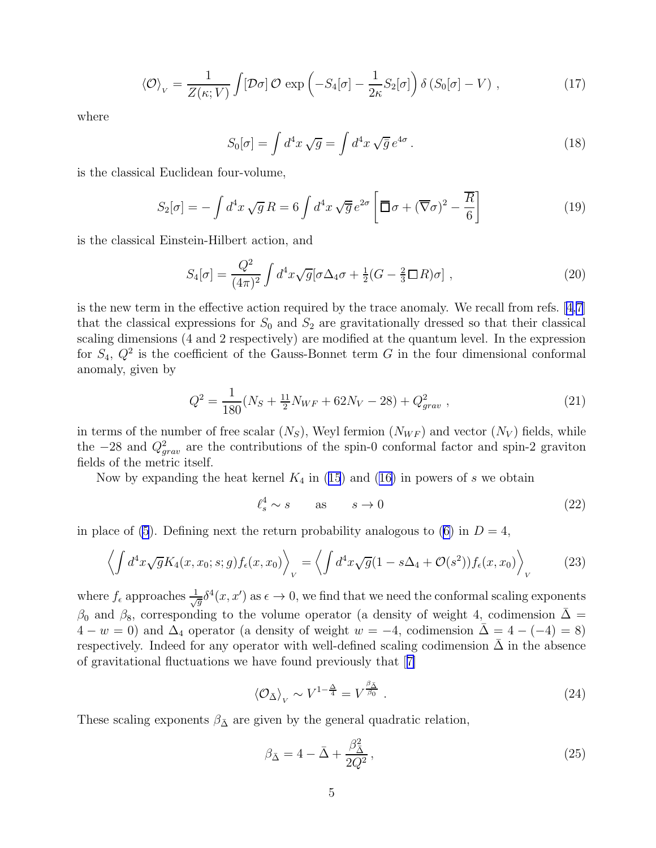$$
\langle \mathcal{O} \rangle_V = \frac{1}{Z(\kappa; V)} \int [\mathcal{D}\sigma] \, \mathcal{O} \, \exp\left(-S_4[\sigma] - \frac{1}{2\kappa} S_2[\sigma]\right) \delta\left(S_0[\sigma] - V\right) \,, \tag{17}
$$

<span id="page-5-0"></span>where

$$
S_0[\sigma] = \int d^4x \sqrt{g} = \int d^4x \sqrt{\overline{g}} e^{4\sigma} . \qquad (18)
$$

is the classical Euclidean four-volume,

$$
S_2[\sigma] = -\int d^4x \sqrt{g} R = 6 \int d^4x \sqrt{\overline{g}} e^{2\sigma} \left[ \overline{\Box} \sigma + (\overline{\nabla} \sigma)^2 - \frac{\overline{R}}{6} \right]
$$
(19)

is the classical Einstein-Hilbert action, and

$$
S_4[\sigma] = \frac{Q^2}{(4\pi)^2} \int d^4x \sqrt{g} [\sigma \Delta_4 \sigma + \frac{1}{2} (G - \frac{2}{3} \Box R) \sigma ] , \qquad (20)
$$

is the new term in the effective action required by the trace anomaly. We recall from refs.[[4,7\]](#page-11-0) that the classical expressions for  $S_0$  and  $S_2$  are gravitationally dressed so that their classical scaling dimensions (4 and 2 respectively) are modified at the quantum level. In the expression for  $S_4, Q^2$  is the coefficient of the Gauss-Bonnet term G in the four dimensional conformal anomaly, given by

$$
Q^2 = \frac{1}{180}(N_S + \frac{11}{2}N_{WF} + 62N_V - 28) + Q_{grav}^2 \t\t(21)
$$

in terms of the number of free scalar  $(N_S)$ , Weyl fermion  $(N_{WF})$  and vector  $(N_V)$  fields, while the  $-28$  and  $Q_{grav}^2$  are the contributions of the spin-0 conformal factor and spin-2 graviton fields of the metric itself.

Nowby expanding the heat kernel  $K_4$  in ([15](#page-4-0)) and ([16\)](#page-4-0) in powers of s we obtain

$$
\ell_s^4 \sim s \qquad \text{as} \qquad s \to 0 \tag{22}
$$

in place of [\(5](#page-3-0)).Defining next the return probability analogous to ([6\)](#page-3-0) in  $D=4$ ,

$$
\left\langle \int d^4x \sqrt{g} K_4(x, x_0; s; g) f_{\epsilon}(x, x_0) \right\rangle_V = \left\langle \int d^4x \sqrt{g} (1 - s\Delta_4 + \mathcal{O}(s^2)) f_{\epsilon}(x, x_0) \right\rangle_V \tag{23}
$$

where  $f_{\epsilon}$  approaches  $\frac{1}{\sqrt{g}}\delta^{4}(x, x')$  as  $\epsilon \to 0$ , we find that we need the conformal scaling exponents  $β_0$  and  $β_8$ , corresponding to the volume operator (a density of weight 4, codimension  $\overline{\Delta}$  =  $4 - w = 0$ ) and  $\Delta_4$  operator (a density of weight  $w = -4$ , codimension  $\bar{\Delta} = 4 - (-4) = 8$ ) respectively. Indeed for any operator with well-defined scaling codimension  $\bar{\Delta}$  in the absence of gravitational fluctuations we have found previously that[[7\]](#page-11-0)

$$
\left\langle \mathcal{O}_{\bar{\Delta}} \right\rangle_V \sim V^{1 - \frac{\Delta}{4}} = V^{\frac{\beta_{\bar{\Delta}}}{\beta_0}} \tag{24}
$$

These scaling exponents  $\beta_{\overline{\Delta}}$  are given by the general quadratic relation,

$$
\beta_{\bar{\Delta}} = 4 - \bar{\Delta} + \frac{\beta_{\bar{\Delta}}^2}{2Q^2},\tag{25}
$$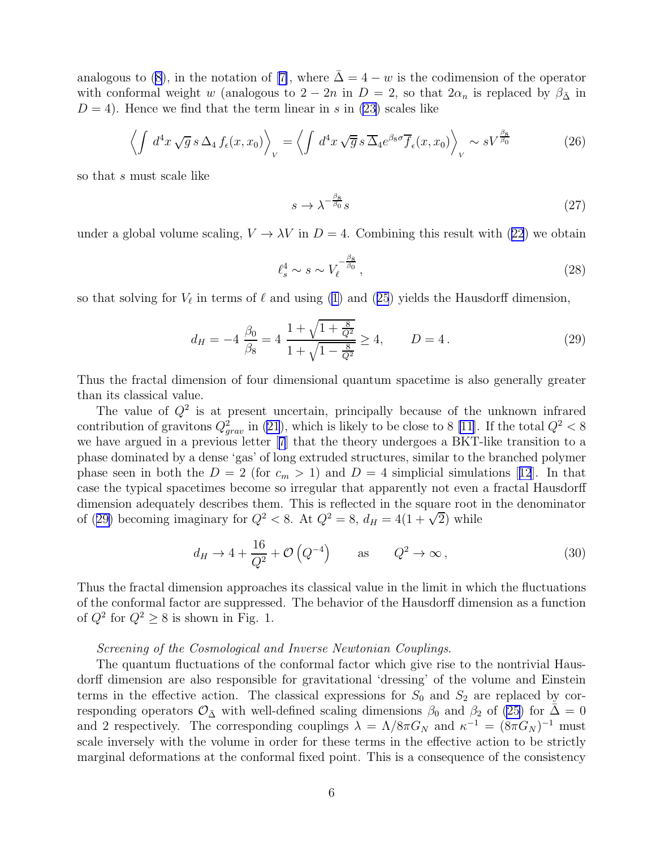<span id="page-6-0"></span>analogous to [\(8](#page-3-0)),in the notation of [[7\]](#page-11-0), where  $\bar{\Delta} = 4 - w$  is the codimension of the operator with conformal weight w (analogous to  $2 - 2n$  in  $D = 2$ , so that  $2\alpha_n$  is replaced by  $\beta_{\overline{\Delta}}$  in  $D = 4$ ). Hence we find that the term linear in s in [\(23](#page-5-0)) scales like

$$
\left\langle \int d^4x \sqrt{g} s \, \Delta_4 f_{\epsilon}(x, x_0) \right\rangle_V = \left\langle \int d^4x \sqrt{\overline{g}} s \, \overline{\Delta}_4 e^{\beta_8 \sigma} \overline{f}_{\epsilon}(x, x_0) \right\rangle_V \sim sV^{\frac{\beta_8}{\beta_0}} \tag{26}
$$

so that s must scale like

$$
s \to \lambda^{-\frac{\beta_8}{\beta_0}} s \tag{27}
$$

undera global volume scaling,  $V \to \lambda V$  in  $D = 4$ . Combining this result with ([22](#page-5-0)) we obtain

$$
\ell_s^4 \sim s \sim V_\ell^{-\frac{\beta_8}{\beta_0}},\tag{28}
$$

sothat solving for  $V_{\ell}$  in terms of  $\ell$  and using [\(1\)](#page-2-0) and ([25](#page-5-0)) yields the Hausdorff dimension,

$$
d_H = -4 \frac{\beta_0}{\beta_8} = 4 \frac{1 + \sqrt{1 + \frac{8}{Q^2}}}{1 + \sqrt{1 - \frac{8}{Q^2}}} \ge 4, \qquad D = 4. \tag{29}
$$

Thus the fractal dimension of four dimensional quantum spacetime is also generally greater than its classical value.

The value of  $Q^2$  is at present uncertain, principally because of the unknown infrared contribution of gravitons  $Q_{grav}^2$  in [\(21](#page-5-0)), which is likely to be close to 8 [\[11\]](#page-11-0). If the total  $Q^2 < 8$ we have argued in a previous letter[[7](#page-11-0)] that the theory undergoes a BKT-like transition to a phase dominated by a dense 'gas' of long extruded structures, similar to the branched polymer phaseseen in both the  $D = 2$  (for  $c_m > 1$ ) and  $D = 4$  simplicial simulations [[12](#page-11-0)]. In that case the typical spacetimes become so irregular that apparently not even a fractal Hausdorff dimension adequately describes them. This is reflected in the square root in the denominator of (29) becoming imaginary for  $Q^2 < 8$ . At  $Q^2 = 8$ ,  $d_H = 4(1 + \sqrt{2})$  while

$$
d_H \to 4 + \frac{16}{Q^2} + \mathcal{O}\left(Q^{-4}\right) \quad \text{as} \quad Q^2 \to \infty \,, \tag{30}
$$

Thus the fractal dimension approaches its classical value in the limit in which the fluctuations of the conformal factor are suppressed. The behavior of the Hausdorff dimension as a function of  $Q^2$  for  $Q^2 \geq 8$  is shown in Fig. 1.

#### Screening of the Cosmological and Inverse Newtonian Couplings.

The quantum fluctuations of the conformal factor which give rise to the nontrivial Hausdorff dimension are also responsible for gravitational 'dressing' of the volume and Einstein terms in the effective action. The classical expressions for  $S_0$  and  $S_2$  are replaced by corresponding operators  $\mathcal{O}_{\bar{\Delta}}$  with well-defined scaling dimensions  $\beta_0$  and  $\beta_2$  of [\(25](#page-5-0)) for  $\bar{\Delta} = 0$ and 2 respectively. The corresponding couplings  $\lambda = \Lambda/8\pi G_N$  and  $\kappa^{-1} = (8\pi G_N)^{-1}$  must scale inversely with the volume in order for these terms in the effective action to be strictly marginal deformations at the conformal fixed point. This is a consequence of the consistency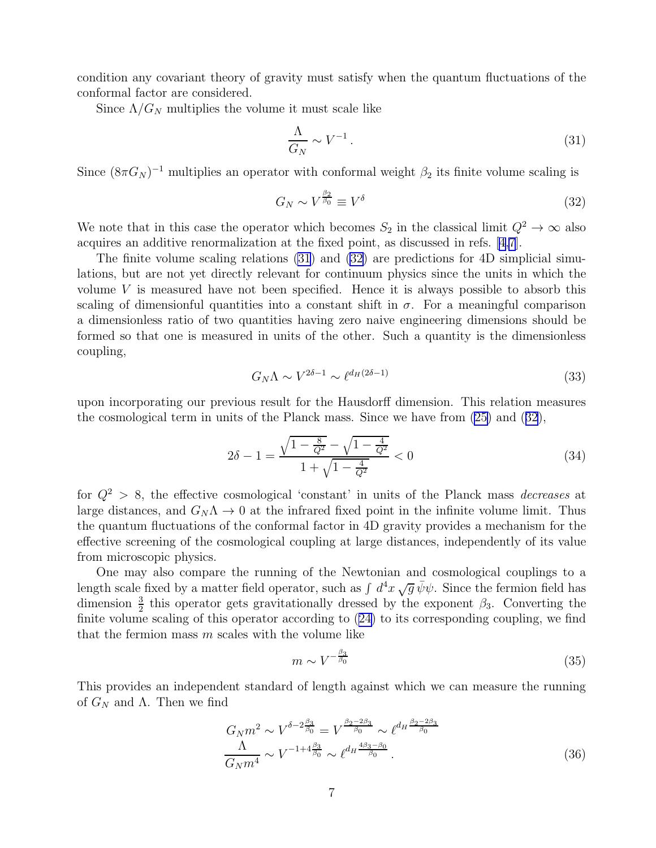<span id="page-7-0"></span>condition any covariant theory of gravity must satisfy when the quantum fluctuations of the conformal factor are considered.

Since  $\Lambda/G_N$  multiplies the volume it must scale like

$$
\frac{\Lambda}{G_N} \sim V^{-1} \,. \tag{31}
$$

Since  $(8\pi G_N)^{-1}$  multiplies an operator with conformal weight  $\beta_2$  its finite volume scaling is

$$
G_N \sim V^{\frac{\beta_2}{\beta_0}} \equiv V^{\delta} \tag{32}
$$

We note that in this case the operator which becomes  $S_2$  in the classical limit  $Q^2 \to \infty$  also acquires an additive renormalization at the fixed point, as discussed in refs. [\[4,7](#page-11-0)].

The finite volume scaling relations (31) and (32) are predictions for 4D simplicial simulations, but are not yet directly relevant for continuum physics since the units in which the volume  $V$  is measured have not been specified. Hence it is always possible to absorb this scaling of dimensionful quantities into a constant shift in  $\sigma$ . For a meaningful comparison a dimensionless ratio of two quantities having zero naive engineering dimensions should be formed so that one is measured in units of the other. Such a quantity is the dimensionless coupling,

$$
G_N \Lambda \sim V^{2\delta - 1} \sim \ell^{d_H (2\delta - 1)} \tag{33}
$$

upon incorporating our previous result for the Hausdorff dimension. This relation measures the cosmological term in units of the Planck mass. Since we have from [\(25\)](#page-5-0) and (32),

$$
2\delta - 1 = \frac{\sqrt{1 - \frac{8}{Q^2}} - \sqrt{1 - \frac{4}{Q^2}}}{1 + \sqrt{1 - \frac{4}{Q^2}}} < 0\tag{34}
$$

for  $Q^2 > 8$ , the effective cosmological 'constant' in units of the Planck mass *decreases* at large distances, and  $G_N \Lambda \to 0$  at the infrared fixed point in the infinite volume limit. Thus the quantum fluctuations of the conformal factor in 4D gravity provides a mechanism for the effective screening of the cosmological coupling at large distances, independently of its value from microscopic physics.

One may also compare the running of the Newtonian and cosmological couplings to a length scale fixed by a matter field operator, such as  $\int d^4x \sqrt{g} \bar{\psi} \psi$ . Since the fermion field has dimension  $\frac{3}{2}$  this operator gets gravitationally dressed by the exponent  $\beta_3$ . Converting the finite volume scaling of this operator according to([24\)](#page-5-0) to its corresponding coupling, we find that the fermion mass  $m$  scales with the volume like

$$
m \sim V^{-\frac{\beta_3}{\beta_0}}\tag{35}
$$

This provides an independent standard of length against which we can measure the running of  $G_N$  and  $\Lambda$ . Then we find

$$
G_N m^2 \sim V^{\delta - 2\frac{\beta_3}{\beta_0}} = V^{\frac{\beta_2 - 2\beta_3}{\beta_0}} \sim \ell^{d_H \frac{\beta_2 - 2\beta_3}{\beta_0}} \frac{\Lambda}{G_N m^4} \sim V^{-1 + 4\frac{\beta_3}{\beta_0}} \sim \ell^{d_H \frac{4\beta_3 - \beta_0}{\beta_0}}.
$$
\n(36)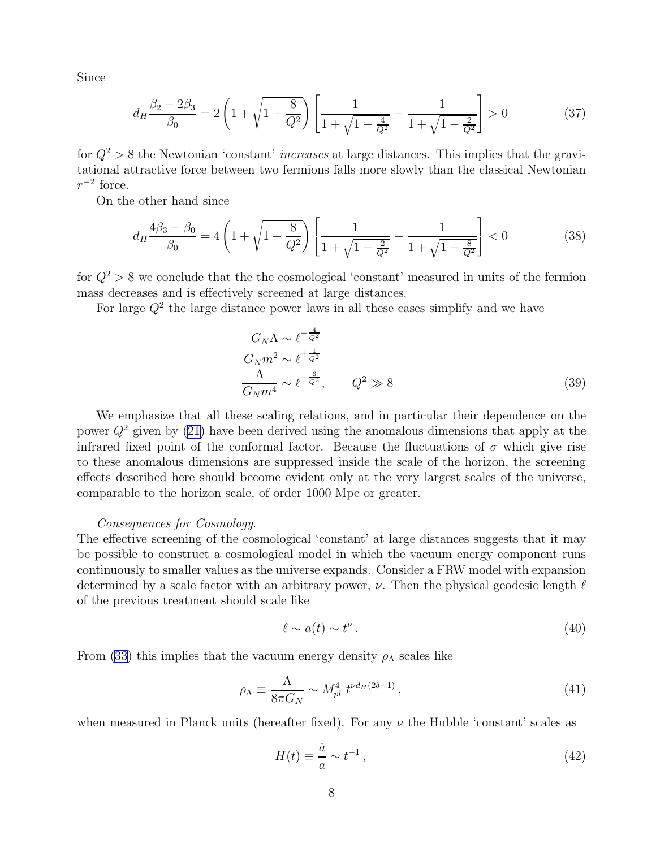<span id="page-8-0"></span>Since

$$
d_H \frac{\beta_2 - 2\beta_3}{\beta_0} = 2\left(1 + \sqrt{1 + \frac{8}{Q^2}}\right) \left[\frac{1}{1 + \sqrt{1 - \frac{4}{Q^2}}} - \frac{1}{1 + \sqrt{1 - \frac{2}{Q^2}}}\right] > 0\tag{37}
$$

for  $Q^2 > 8$  the Newtonian 'constant' *increases* at large distances. This implies that the gravitational attractive force between two fermions falls more slowly than the classical Newtonian  $r^{-2}$  force.

On the other hand since

$$
d_H \frac{4\beta_3 - \beta_0}{\beta_0} = 4\left(1 + \sqrt{1 + \frac{8}{Q^2}}\right) \left[\frac{1}{1 + \sqrt{1 - \frac{2}{Q^2}}} - \frac{1}{1 + \sqrt{1 - \frac{8}{Q^2}}}\right] < 0\tag{38}
$$

for  $Q^2 > 8$  we conclude that the the cosmological 'constant' measured in units of the fermion mass decreases and is effectively screened at large distances.

For large  $Q^2$  the large distance power laws in all these cases simplify and we have

$$
G_N \Lambda \sim \ell^{-\frac{4}{Q^2}}
$$
  
\n
$$
G_N m^2 \sim \ell^{+\frac{1}{Q^2}}
$$
  
\n
$$
\frac{\Lambda}{G_N m^4} \sim \ell^{-\frac{6}{Q^2}}, \qquad Q^2 \gg 8
$$
\n(39)

We emphasize that all these scaling relations, and in particular their dependence on the power  $Q^2$  given by [\(21\)](#page-5-0) have been derived using the anomalous dimensions that apply at the infrared fixed point of the conformal factor. Because the fluctuations of  $\sigma$  which give rise to these anomalous dimensions are suppressed inside the scale of the horizon, the screening effects described here should become evident only at the very largest scales of the universe, comparable to the horizon scale, of order 1000 Mpc or greater.

#### Consequences for Cosmology.

The effective screening of the cosmological 'constant' at large distances suggests that it may be possible to construct a cosmological model in which the vacuum energy component runs continuously to smaller values as the universe expands. Consider a FRW model with expansion determined by a scale factor with an arbitrary power,  $\nu$ . Then the physical geodesic length  $\ell$ of the previous treatment should scale like

$$
\ell \sim a(t) \sim t^{\nu} \,. \tag{40}
$$

From [\(33](#page-7-0)) this implies that the vacuum energy density  $\rho_{\Lambda}$  scales like

$$
\rho_{\Lambda} \equiv \frac{\Lambda}{8\pi G_N} \sim M_{pl}^4 \ t^{\nu d_H (2\delta - 1)} \,, \tag{41}
$$

when measured in Planck units (hereafter fixed). For any  $\nu$  the Hubble 'constant' scales as

$$
H(t) \equiv \frac{\dot{a}}{a} \sim t^{-1},\tag{42}
$$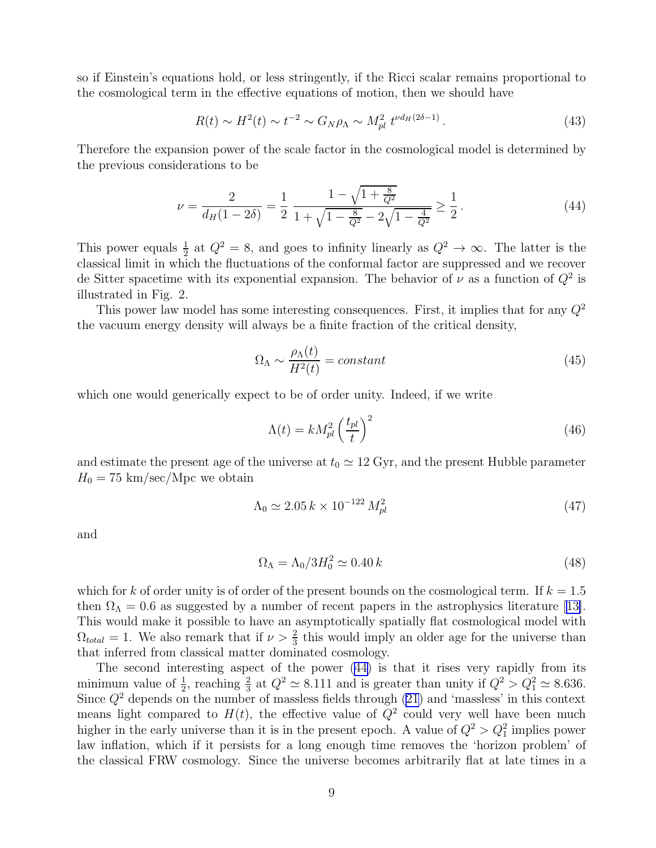<span id="page-9-0"></span>so if Einstein's equations hold, or less stringently, if the Ricci scalar remains proportional to the cosmological term in the effective equations of motion, then we should have

$$
R(t) \sim H^2(t) \sim t^{-2} \sim G_N \rho_\Lambda \sim M_{pl}^2 \ t^{\nu d_H (2\delta - 1)} \,. \tag{43}
$$

Therefore the expansion power of the scale factor in the cosmological model is determined by the previous considerations to be

$$
\nu = \frac{2}{d_H(1 - 2\delta)} = \frac{1}{2} \frac{1 - \sqrt{1 + \frac{8}{Q^2}}}{1 + \sqrt{1 - \frac{8}{Q^2}} - 2\sqrt{1 - \frac{4}{Q^2}}} \ge \frac{1}{2}.
$$
\n(44)

This power equals  $\frac{1}{2}$  at  $Q^2 = 8$ , and goes to infinity linearly as  $Q^2 \to \infty$ . The latter is the classical limit in which the fluctuations of the conformal factor are suppressed and we recover de Sitter spacetime with its exponential expansion. The behavior of  $\nu$  as a function of  $Q^2$  is illustrated in Fig. 2.

This power law model has some interesting consequences. First, it implies that for any  $Q^2$ the vacuum energy density will always be a finite fraction of the critical density,

$$
\Omega_{\Lambda} \sim \frac{\rho_{\Lambda}(t)}{H^2(t)} = constant \tag{45}
$$

which one would generically expect to be of order unity. Indeed, if we write

$$
\Lambda(t) = k M_{pl}^2 \left(\frac{t_{pl}}{t}\right)^2 \tag{46}
$$

and estimate the present age of the universe at  $t_0 \simeq 12 \text{ Gyr}$ , and the present Hubble parameter  $H_0 = 75 \text{ km/sec/Mpc}$  we obtain

$$
\Lambda_0 \simeq 2.05 \, k \times 10^{-122} \, M_{pl}^2 \tag{47}
$$

and

$$
\Omega_{\Lambda} = \Lambda_0 / 3H_0^2 \simeq 0.40 \, k \tag{48}
$$

which for k of order unity is of order of the present bounds on the cosmological term. If  $k = 1.5$ then $\Omega_{\Lambda} = 0.6$  as suggested by a number of recent papers in the astrophysics literature [[13\]](#page-11-0). This would make it possible to have an asymptotically spatially flat cosmological model with  $\Omega_{total} = 1$ . We also remark that if  $\nu > \frac{2}{3}$  this would imply an older age for the universe than that inferred from classical matter dominated cosmology.

The second interesting aspect of the power (44) is that it rises very rapidly from its minimum value of  $\frac{1}{2}$ , reaching  $\frac{2}{3}$  at  $Q^2 \simeq 8.111$  and is greater than unity if  $Q^2 > Q_1^2 \simeq 8.636$ . Since  $Q^2$  depends on the number of massless fields through  $(21)$  and 'massless' in this context means light compared to  $H(t)$ , the effective value of  $Q^2$  could very well have been much higher in the early universe than it is in the present epoch. A value of  $Q^2 > Q_1^2$  implies power law inflation, which if it persists for a long enough time removes the 'horizon problem' of the classical FRW cosmology. Since the universe becomes arbitrarily flat at late times in a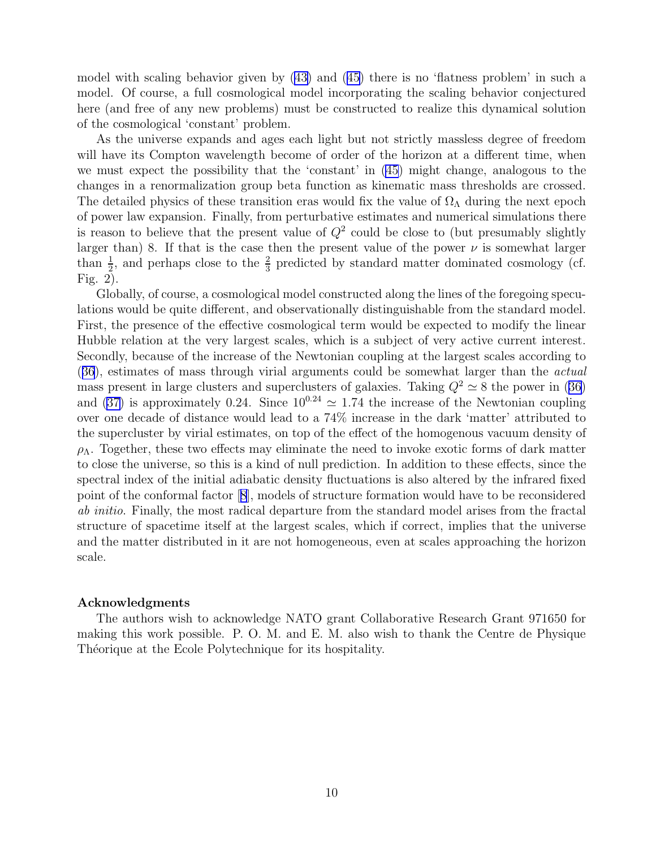model with scaling behavior given by [\(43\)](#page-9-0) and([45\)](#page-9-0) there is no 'flatness problem' in such a model. Of course, a full cosmological model incorporating the scaling behavior conjectured here (and free of any new problems) must be constructed to realize this dynamical solution of the cosmological 'constant' problem.

As the universe expands and ages each light but not strictly massless degree of freedom will have its Compton wavelength become of order of the horizon at a different time, when we must expect the possibility that the 'constant' in [\(45\)](#page-9-0) might change, analogous to the changes in a renormalization group beta function as kinematic mass thresholds are crossed. The detailed physics of these transition eras would fix the value of  $\Omega_{\Lambda}$  during the next epoch of power law expansion. Finally, from perturbative estimates and numerical simulations there is reason to believe that the present value of  $Q^2$  could be close to (but presumably slightly larger than) 8. If that is the case then the present value of the power  $\nu$  is somewhat larger than  $\frac{1}{2}$ , and perhaps close to the  $\frac{2}{3}$  predicted by standard matter dominated cosmology (cf. Fig. 2).

Globally, of course, a cosmological model constructed along the lines of the foregoing speculations would be quite different, and observationally distinguishable from the standard model. First, the presence of the effective cosmological term would be expected to modify the linear Hubble relation at the very largest scales, which is a subject of very active current interest. Secondly, because of the increase of the Newtonian coupling at the largest scales according to ([36](#page-7-0)), estimates of mass through virial arguments could be somewhat larger than the actual masspresent in large clusters and superclusters of galaxies. Taking  $Q^2 \simeq 8$  the power in ([36\)](#page-7-0) and([37\)](#page-8-0) is approximately 0.24. Since  $10^{0.24} \approx 1.74$  the increase of the Newtonian coupling over one decade of distance would lead to a 74% increase in the dark 'matter' attributed to the supercluster by virial estimates, on top of the effect of the homogenous vacuum density of  $\rho_{\Lambda}$ . Together, these two effects may eliminate the need to invoke exotic forms of dark matter to close the universe, so this is a kind of null prediction. In addition to these effects, since the spectral index of the initial adiabatic density fluctuations is also altered by the infrared fixed point of the conformal factor[[8](#page-11-0)], models of structure formation would have to be reconsidered ab initio. Finally, the most radical departure from the standard model arises from the fractal structure of spacetime itself at the largest scales, which if correct, implies that the universe and the matter distributed in it are not homogeneous, even at scales approaching the horizon scale.

#### Acknowledgments

The authors wish to acknowledge NATO grant Collaborative Research Grant 971650 for making this work possible. P. O. M. and E. M. also wish to thank the Centre de Physique Théorique at the Ecole Polytechnique for its hospitality.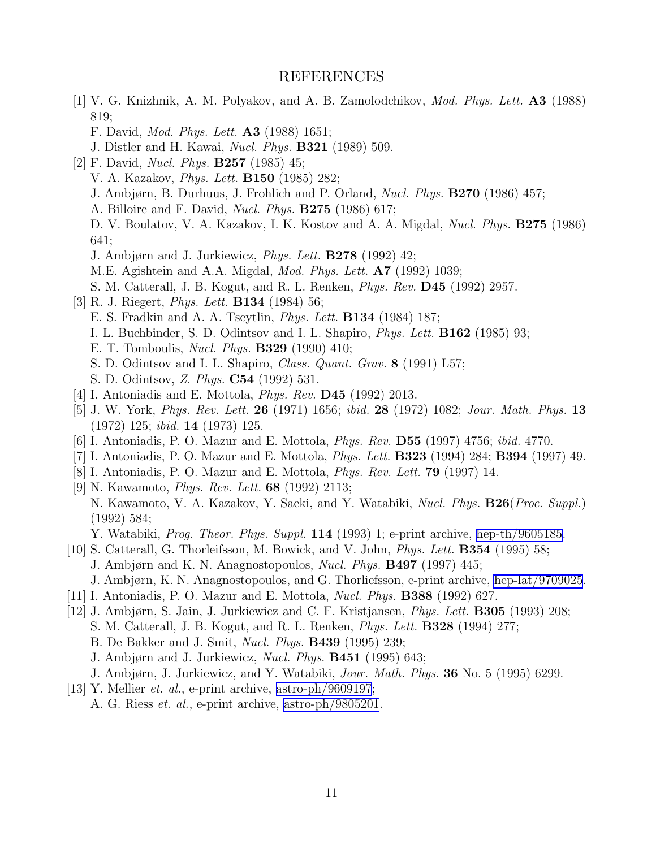### REFERENCES

- <span id="page-11-0"></span>[1] V. G. Knizhnik, A. M. Polyakov, and A. B. Zamolodchikov, Mod. Phys. Lett. A3 (1988) 819;
	- F. David, Mod. Phys. Lett. A3 (1988) 1651;
	- J. Distler and H. Kawai, Nucl. Phys. B321 (1989) 509.
- [2] F. David, Nucl. Phys. B257 (1985) 45;
	- V. A. Kazakov, Phys. Lett. B150 (1985) 282;
	- J. Ambjørn, B. Durhuus, J. Frohlich and P. Orland, Nucl. Phys. B270 (1986) 457;
	- A. Billoire and F. David, Nucl. Phys. B275 (1986) 617;
	- D. V. Boulatov, V. A. Kazakov, I. K. Kostov and A. A. Migdal, Nucl. Phys. B275 (1986) 641;
	- J. Ambjørn and J. Jurkiewicz, Phys. Lett. B278 (1992) 42;
	- M.E. Agishtein and A.A. Migdal, Mod. Phys. Lett. A7 (1992) 1039;
	- S. M. Catterall, J. B. Kogut, and R. L. Renken, Phys. Rev. D45 (1992) 2957.
- [3] R. J. Riegert, Phys. Lett. B134 (1984) 56;
	- E. S. Fradkin and A. A. Tseytlin, Phys. Lett. B134 (1984) 187;
	- I. L. Buchbinder, S. D. Odintsov and I. L. Shapiro, Phys. Lett. B162 (1985) 93;
	- E. T. Tomboulis, Nucl. Phys. B329 (1990) 410;
	- S. D. Odintsov and I. L. Shapiro, Class. Quant. Grav. 8 (1991) L57;
	- S. D. Odintsov, Z. Phys. C54 (1992) 531.
- [4] I. Antoniadis and E. Mottola, *Phys. Rev.* **D45** (1992) 2013.
- [5] J. W. York, Phys. Rev. Lett. 26 (1971) 1656; ibid. 28 (1972) 1082; Jour. Math. Phys. 13 (1972) 125; ibid. 14 (1973) 125.
- [6] I. Antoniadis, P. O. Mazur and E. Mottola, Phys. Rev. D55 (1997) 4756; ibid. 4770.
- [7] I. Antoniadis, P. O. Mazur and E. Mottola, Phys. Lett. B323 (1994) 284; B394 (1997) 49.
- [8] I. Antoniadis, P. O. Mazur and E. Mottola, Phys. Rev. Lett. 79 (1997) 14.
- [9] N. Kawamoto, Phys. Rev. Lett. 68 (1992) 2113;
- N. Kawamoto, V. A. Kazakov, Y. Saeki, and Y. Watabiki, Nucl. Phys. B26(Proc. Suppl.) (1992) 584;
	- Y. Watabiki, *Prog. Theor. Phys. Suppl.* **114** (1993) 1; e-print archive, [hep-th/9605185.](http://arxiv.org/abs/hep-th/9605185)
- [10] S. Catterall, G. Thorleifsson, M. Bowick, and V. John, Phys. Lett. B354 (1995) 58;
	- J. Ambjørn and K. N. Anagnostopoulos, Nucl. Phys. B497 (1997) 445;
	- J. Ambjørn, K. N. Anagnostopoulos, and G. Thorliefsson, e-print archive, [hep-lat/9709025](http://arxiv.org/abs/hep-lat/9709025).
- [11] I. Antoniadis, P. O. Mazur and E. Mottola, Nucl. Phys. B388 (1992) 627.
- [12] J. Ambjørn, S. Jain, J. Jurkiewicz and C. F. Kristjansen, Phys. Lett. B305 (1993) 208;
	- S. M. Catterall, J. B. Kogut, and R. L. Renken, Phys. Lett. B328 (1994) 277;
	- B. De Bakker and J. Smit, Nucl. Phys. B439 (1995) 239;
	- J. Ambjørn and J. Jurkiewicz, Nucl. Phys. B451 (1995) 643;
	- J. Ambjørn, J. Jurkiewicz, and Y. Watabiki, Jour. Math. Phys. 36 No. 5 (1995) 6299.
- [13] Y. Mellier et. al., e-print archive, [astro-ph/9609197](http://arxiv.org/abs/astro-ph/9609197);
	- A. G. Riess et. al., e-print archive, [astro-ph/9805201](http://arxiv.org/abs/astro-ph/9805201).